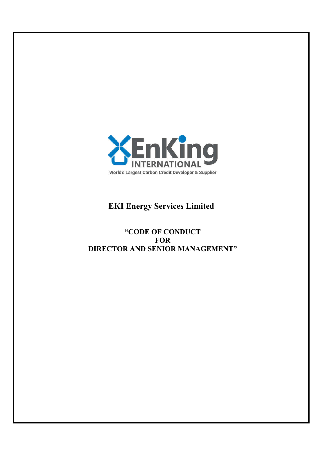

# **EKI Energy Services Limited**

## **"CODE OF CONDUCT FOR DIRECTOR AND SENIOR MANAGEMENT"**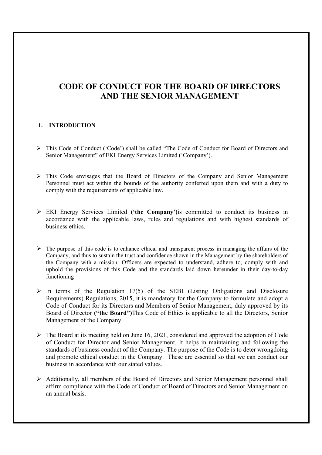## **CODE OF CONDUCT FOR THE BOARD OF DIRECTORS AND THE SENIOR MANAGEMENT**

## **1. INTRODUCTION**

- This Code of Conduct ('Code') shall be called "The Code of Conduct for Board of Directors and Senior Management" of EKI Energy Services Limited ('Company').
- This Code envisages that the Board of Directors of the Company and Senior Management Personnel must act within the bounds of the authority conferred upon them and with a duty to comply with the requirements of applicable law.
- EKI Energy Services Limited **('the Company')**is committed to conduct its business in accordance with the applicable laws, rules and regulations and with highest standards of business ethics.
- $\triangleright$  The purpose of this code is to enhance ethical and transparent process in managing the affairs of the Company, and thus to sustain the trust and confidence shown in the Management by the shareholders of the Company with a mission. Officers are expected to understand, adhere to, comply with and uphold the provisions of this Code and the standards laid down hereunder in their day-to-day functioning
- $\triangleright$  In terms of the Regulation 17(5) of the SEBI (Listing Obligations and Disclosure Requirements) Regulations, 2015, it is mandatory for the Company to formulate and adopt a Code of Conduct for its Directors and Members of Senior Management, duly approved by its Board of Director **("the Board")**This Code of Ethics is applicable to all the Directors, Senior Management of the Company.
- $\triangleright$  The Board at its meeting held on June 16, 2021, considered and approved the adoption of Code of Conduct for Director and Senior Management. It helps in maintaining and following the standards of business conduct of the Company. The purpose of the Code is to deter wrongdoing and promote ethical conduct in the Company. These are essential so that we can conduct our business in accordance with our stated values.
- Additionally, all members of the Board of Directors and Senior Management personnel shall affirm compliance with the Code of Conduct of Board of Directors and Senior Management on an annual basis.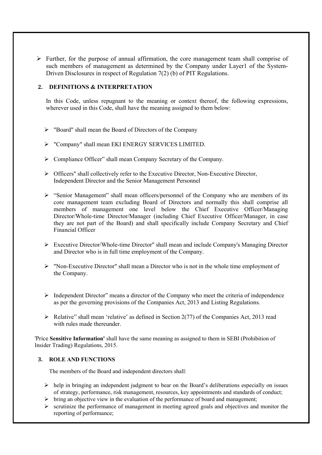$\triangleright$  Further, for the purpose of annual affirmation, the core management team shall comprise of such members of management as determined by the Company under Layer1 of the System-Driven Disclosures in respect of Regulation 7(2) (b) of PIT Regulations.

## **2. DEFINITIONS & INTERPRETATION**

In this Code, unless repugnant to the meaning or context thereof, the following expressions, wherever used in this Code, shall have the meaning assigned to them below:

- $\triangleright$  "Board" shall mean the Board of Directors of the Company
- "Company" shall mean EKI ENERGY SERVICES LIMITED.
- Compliance Officer" shall mean Company Secretary of the Company.
- Officers" shall collectively refer to the Executive Director, Non-Executive Director, Independent Director and the Senior Management Personnel
- $\triangleright$  "Senior Management" shall mean officers/personnel of the Company who are members of its core management team excluding Board of Directors and normally this shall comprise all members of management one level below the Chief Executive Officer/Managing Director/Whole-time Director/Manager (including Chief Executive Officer/Manager, in case they are not part of the Board) and shall specifically include Company Secretary and Chief Financial Officer
- Executive Director/Whole-time Director" shall mean and include Company's Managing Director and Director who is in full time employment of the Company.
- "Non-Executive Director" shall mean a Director who is not in the whole time employment of the Company.
- $\triangleright$  Independent Director" means a director of the Company who meet the criteria of independence as per the governing provisions of the Companies Act, 2013 and Listing Regulations.
- $\triangleright$  Relative" shall mean 'relative' as defined in Section 2(77) of the Companies Act, 2013 read with rules made thereunder.

'Price **Sensitive Information'** shall have the same meaning as assigned to them in SEBI (Prohibition of Insider Trading) Regulations, 2015.

## **3. ROLE AND FUNCTIONS**

The members of the Board and independent directors shall:

- $\triangleright$  help in bringing an independent judgment to bear on the Board's deliberations especially on issues of strategy, performance, risk management, resources, key appointments and standards of conduct;
- $\triangleright$  bring an objective view in the evaluation of the performance of board and management;
- $\triangleright$  scrutinize the performance of management in meeting agreed goals and objectives and monitor the reporting of performance;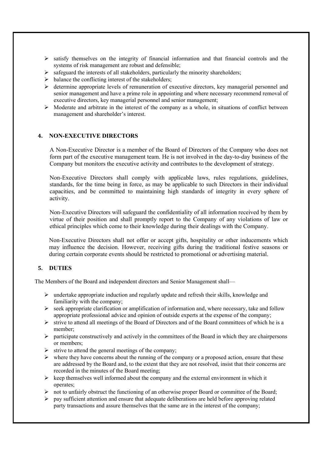- $\geq$  satisfy themselves on the integrity of financial information and that financial controls and the systems of risk management are robust and defensible;
- $\triangleright$  safeguard the interests of all stakeholders, particularly the minority shareholders;
- $\triangleright$  balance the conflicting interest of the stakeholders;
- $\triangleright$  determine appropriate levels of remuneration of executive directors, key managerial personnel and senior management and have a prime role in appointing and where necessary recommend removal of executive directors, key managerial personnel and senior management;
- $\triangleright$  Moderate and arbitrate in the interest of the company as a whole, in situations of conflict between management and shareholder's interest.

## **4. NON-EXECUTIVE DIRECTORS**

A Non-Executive Director is a member of the Board of Directors of the Company who does not form part of the executive management team. He is not involved in the day-to-day business of the Company but monitors the executive activity and contributes to the development of strategy.

Non-Executive Directors shall comply with applicable laws, rules regulations, guidelines, standards, for the time being in force, as may be applicable to such Directors in their individual capacities, and be committed to maintaining high standards of integrity in every sphere of activity.

Non-Executive Directors will safeguard the confidentiality of all information received by them by virtue of their position and shall promptly report to the Company of any violations of law or ethical principles which come to their knowledge during their dealings with the Company.

Non-Executive Directors shall not offer or accept gifts, hospitality or other inducements which may influence the decision. However, receiving gifts during the traditional festive seasons or during certain corporate events should be restricted to promotional or advertising material.

## **5. DUTIES**

The Members of the Board and independent directors and Senior Management shall—

- $\triangleright$  undertake appropriate induction and regularly update and refresh their skills, knowledge and familiarity with the company;
- $\triangleright$  seek appropriate clarification or amplification of information and, where necessary, take and follow appropriate professional advice and opinion of outside experts at the expense of the company;
- $\triangleright$  strive to attend all meetings of the Board of Directors and of the Board committees of which he is a member;
- $\triangleright$  participate constructively and actively in the committees of the Board in which they are chairpersons or members;
- $\triangleright$  strive to attend the general meetings of the company;
- $\triangleright$  where they have concerns about the running of the company or a proposed action, ensure that these are addressed by the Board and, to the extent that they are not resolved, insist that their concerns are recorded in the minutes of the Board meeting;
- $\triangleright$  keep themselves well informed about the company and the external environment in which it operates;
- $\triangleright$  not to unfairly obstruct the functioning of an otherwise proper Board or committee of the Board;
- $\triangleright$  pay sufficient attention and ensure that adequate deliberations are held before approving related party transactions and assure themselves that the same are in the interest of the company;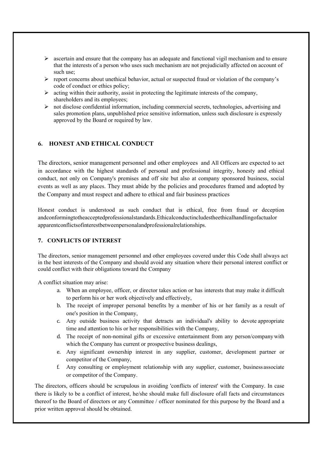- $\triangleright$  ascertain and ensure that the company has an adequate and functional vigil mechanism and to ensure that the interests of a person who uses such mechanism are not prejudicially affected on account of such use;
- $\triangleright$  report concerns about unethical behavior, actual or suspected fraud or violation of the company's code of conduct or ethics policy;
- $\triangleright$  acting within their authority, assist in protecting the legitimate interests of the company, shareholders and its employees;
- $\triangleright$  not disclose confidential information, including commercial secrets, technologies, advertising and sales promotion plans, unpublished price sensitive information, unless such disclosure is expressly approved by the Board or required by law.

## **6. HONEST AND ETHICAL CONDUCT**

The directors, senior management personnel and other employees and All Officers are expected to act in accordance with the highest standards of personal and professional integrity, honesty and ethical conduct, not only on Company's premises and off site but also at company sponsored business, social events as well as any places. They must abide by the policies and procedures framed and adopted by the Company and must respect and adhere to ethical and fair business practices

Honest conduct is understood as such conduct that is ethical, free from fraud or deception andconformingtotheacceptedprofessionalstandards.Ethicalconductincludestheethicalhandlingofactualor apparentconflictsofinterestbetweenpersonalandprofessionalrelationships.

## **7. CONFLICTS OF INTEREST**

The directors, senior management personnel and other employees covered under this Code shall always act in the best interests of the Company and should avoid any situation where their personal interest conflict or could conflict with their obligations toward the Company

A conflict situation may arise:

- a. When an employee, officer, or director takes action or has interests that may make it difficult to perform his or her work objectively and effectively,
- b. The receipt of improper personal benefits by a member of his or her family as a result of one's position in the Company,
- c. Any outside business activity that detracts an individual's ability to devote appropriate time and attention to his or her responsibilities with the Company,
- d. The receipt of non-nominal gifts or excessive entertainment from any person/companywith which the Company has current or prospective business dealings,
- e. Any significant ownership interest in any supplier, customer, development partner or competitor of the Company,
- f. Any consulting or employment relationship with any supplier, customer, businessassociate or competitor of the Company.

The directors, officers should be scrupulous in avoiding 'conflicts of interest' with the Company. In case there is likely to be a conflict of interest, he/she should make full disclosure ofall facts and circumstances thereof to the Board of directors or any Committee / officer nominated for this purpose by the Board and a prior written approval should be obtained.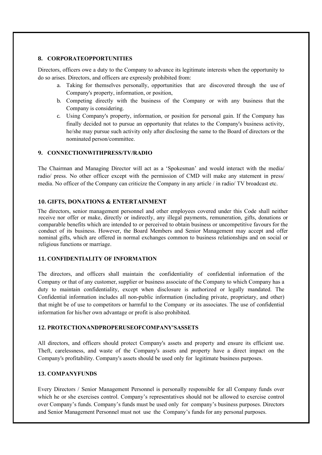#### **8. CORPORATEOPPORTUNITIES**

Directors, officers owe a duty to the Company to advance its legitimate interests when the opportunity to do so arises. Directors, and officers are expressly prohibited from:

- a. Taking for themselves personally, opportunities that are discovered through the use of Company's property, information, or position,
- b. Competing directly with the business of the Company or with any business that the Company is considering.
- c. Using Company's property, information, or position for personal gain. If the Company has finally decided not to pursue an opportunity that relates to the Company's business activity, he/she may pursue such activity only after disclosing the same to the Board of directors or the nominated person/committee.

#### **9. CONNECTIONWITHPRESS/TV/RADIO**

The Chairman and Managing Director will act as a 'Spokesman' and would interact with the media/ radio/ press. No other officer except with the permission of CMD will make any statement in press/ media. No officer of the Company can criticize the Company in any article / in radio/ TV broadcast etc.

## **10. GIFTS, DONATIONS & ENTERTAINMENT**

The directors, senior management personnel and other employees covered under this Code shall neither receive nor offer or make, directly or indirectly, any illegal payments, remuneration, gifts, donations or comparable benefits which are intended to or perceived to obtain business or uncompetitive favours for the conduct of its business. However, the Board Members and Senior Management may accept and offer nominal gifts, which are offered in normal exchanges common to business relationships and on social or religious functions or marriage.

## **11. CONFIDENTIALITY OF INFORMATION**

The directors, and officers shall maintain the confidentiality of confidential information of the Company or that of any customer, supplier or business associate of the Company to which Company has a duty to maintain confidentiality, except when disclosure is authorized or legally mandated. The Confidential information includes all non-public information (including private, proprietary, and other) that might be of use to competitors or harmful to the Company or its associates. The use of confidential information for his/her own advantage or profit is also prohibited.

## **12. PROTECTIONANDPROPERUSEOFCOMPANY'SASSETS**

All directors, and officers should protect Company's assets and property and ensure its efficient use. Theft, carelessness, and waste of the Company's assets and property have a direct impact on the Company's profitability. Company's assets should be used only for legitimate business purposes.

## **13. COMPANYFUNDS**

Every Directors / Senior Management Personnel is personally responsible for all Company funds over which he or she exercises control. Company's representatives should not be allowed to exercise control over Company's funds. Company's funds must be used only for company's business purposes. Directors and Senior Management Personnel must not use the Company's funds for any personal purposes.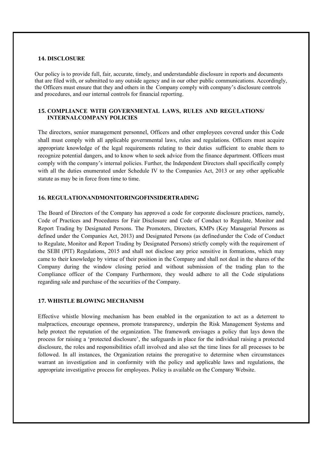#### **14. DISCLOSURE**

Our policy is to provide full, fair, accurate, timely, and understandable disclosure in reports and documents that are filed with, or submitted to any outside agency and in our other public communications. Accordingly, the Officers must ensure that they and others in the Company comply with company's disclosure controls and procedures, and our internal controls for financial reporting.

## **15. COMPLIANCE WITH GOVERNMENTAL LAWS, RULES AND REGULATIONS/ INTERNALCOMPANY POLICIES**

The directors, senior management personnel, Officers and other employees covered under this Code shall must comply with all applicable governmental laws, rules and regulations. Officers must acquire appropriate knowledge of the legal requirements relating to their duties sufficient to enable them to recognize potential dangers, and to know when to seek advice from the finance department. Officers must comply with the company's internal policies. Further, the Independent Directors shall specifically comply with all the duties enumerated under Schedule IV to the Companies Act, 2013 or any other applicable statute as may be in force from time to time.

#### **16. REGULATIONANDMONITORINGOFINSIDERTRADING**

The Board of Directors of the Company has approved a code for corporate disclosure practices, namely, Code of Practices and Procedures for Fair Disclosure and Code of Conduct to Regulate, Monitor and Report Trading by Designated Persons. The Promoters, Directors, KMPs (Key Managerial Persons as defined under the Companies Act, 2013) and Designated Persons (as definedunder the Code of Conduct to Regulate, Monitor and Report Trading by Designated Persons) strictly comply with the requirement of the SEBI (PIT) Regulations, 2015 and shall not disclose any price sensitive in formations, which may came to their knowledge by virtue of their position in the Company and shall not deal in the shares of the Company during the window closing period and without submission of the trading plan to the Compliance officer of the Company Furthermore, they would adhere to all the Code stipulations regarding sale and purchase of the securities of the Company.

## **17. WHISTLE BLOWING MECHANISM**

Effective whistle blowing mechanism has been enabled in the organization to act as a deterrent to malpractices, encourage openness, promote transparency, underpin the Risk Management Systems and help protect the reputation of the organization. The framework envisages a policy that lays down the process for raising a 'protected disclosure', the safeguards in place for the individual raising a protected disclosure, the roles and responsibilities ofall involved and also set the time lines for all processes to be followed. In all instances, the Organization retains the prerogative to determine when circumstances warrant an investigation and in conformity with the policy and applicable laws and regulations, the appropriate investigative process for employees. Policy is available on the Company Website.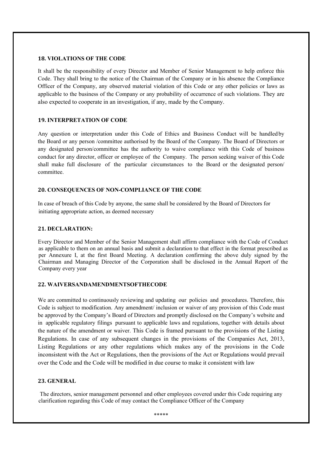## **18. VIOLATIONS OF THE CODE**

It shall be the responsibility of every Director and Member of Senior Management to help enforce this Code. They shall bring to the notice of the Chairman of the Company or in his absence the Compliance Officer of the Company, any observed material violation of this Code or any other policies or laws as applicable to the business of the Company or any probability of occurrence of such violations. They are also expected to cooperate in an investigation, if any, made by the Company.

#### **19. INTERPRETATION OF CODE**

Any question or interpretation under this Code of Ethics and Business Conduct will be handled by the Board or any person /committee authorised by the Board of the Company. The Board of Directors or any designated person/committee has the authority to waive compliance with this Code of business conduct for any director, officer or employee of the Company. The person seeking waiver of this Code shall make full disclosure of the particular circumstances to the Board or the designated person/ committee.

#### **20. CONSEQUENCES OF NON-COMPLIANCE OF THE CODE**

In case of breach of this Code by anyone, the same shall be considered by the Board of Directors for initiating appropriate action, as deemed necessary

#### **21. DECLARATION:**

Every Director and Member of the Senior Management shall affirm compliance with the Code of Conduct as applicable to them on an annual basis and submit a declaration to that effect in the format prescribed as per Annexure I, at the first Board Meeting. A declaration confirming the above duly signed by the Chairman and Managing Director of the Corporation shall be disclosed in the Annual Report of the Company every year

## **22. WAIVERSANDAMENDMENTSOFTHECODE**

We are committed to continuously reviewing and updating our policies and procedures. Therefore, this Code is subject to modification. Any amendment/ inclusion or waiver of any provision of this Code must be approved by the Company's Board of Directors and promptly disclosed on the Company's website and in applicable regulatory filings pursuant to applicable laws and regulations, together with details about the nature of the amendment or waiver. This Code is framed pursuant to the provisions of the Listing Regulations. In case of any subsequent changes in the provisions of the Companies Act, 2013, Listing Regulations or any other regulations which makes any of the provisions in the Code inconsistent with the Act or Regulations, then the provisions of the Act or Regulations would prevail over the Code and the Code will be modified in due course to make it consistent with law

#### **23. GENERAL**

The directors, senior management personnel and other employees covered under this Code requiring any clarification regarding this Code of may contact the Compliance Officer of the Company